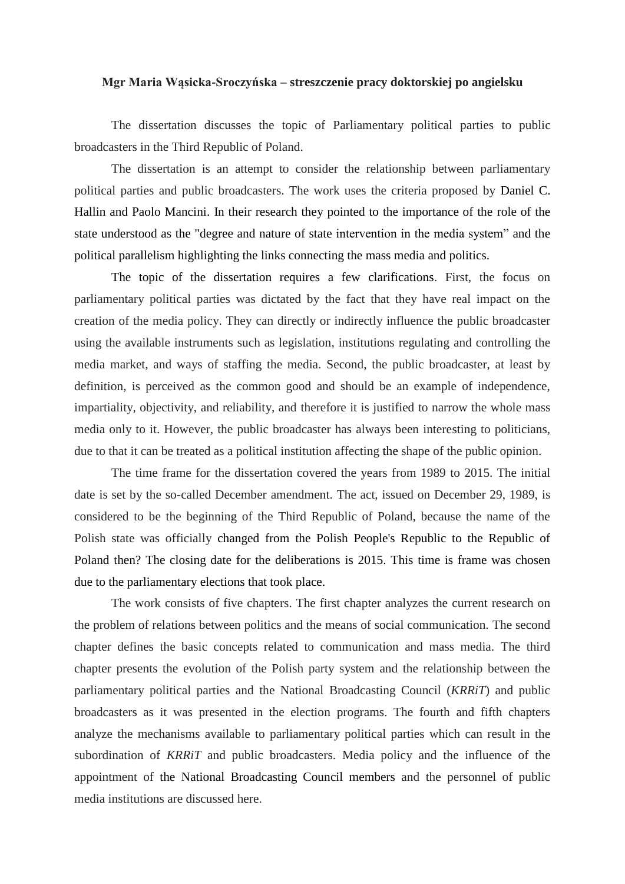## **Mgr Maria Wąsicka-Sroczyńska – streszczenie pracy doktorskiej po angielsku**

The dissertation discusses the topic of Parliamentary political parties to public broadcasters in the Third Republic of Poland.

The dissertation is an attempt to consider the relationship between parliamentary political parties and public broadcasters. The work uses the criteria proposed by Daniel C. Hallin and Paolo Mancini. In their research they pointed to the importance of the role of the state understood as the "degree and nature of state intervention in the media system" and the political parallelism highlighting the links connecting the mass media and politics.

The topic of the dissertation requires a few clarifications. First, the focus on parliamentary political parties was dictated by the fact that they have real impact on the creation of the media policy. They can directly or indirectly influence the public broadcaster using the available instruments such as legislation, institutions regulating and controlling the media market, and ways of staffing the media. Second, the public broadcaster, at least by definition, is perceived as the common good and should be an example of independence, impartiality, objectivity, and reliability, and therefore it is justified to narrow the whole mass media only to it. However, the public broadcaster has always been interesting to politicians, due to that it can be treated as a political institution affecting the shape of the public opinion.

The time frame for the dissertation covered the years from 1989 to 2015. The initial date is set by the so-called December amendment. The act, issued on December 29, 1989, is considered to be the beginning of the Third Republic of Poland, because the name of the Polish state was officially changed from the Polish People's Republic to the Republic of Poland then? The closing date for the deliberations is 2015. This time is frame was chosen due to the parliamentary elections that took place.

The work consists of five chapters. The first chapter analyzes the current research on the problem of relations between politics and the means of social communication. The second chapter defines the basic concepts related to communication and mass media. The third chapter presents the evolution of the Polish party system and the relationship between the parliamentary political parties and the National Broadcasting Council (*KRRiT*) and public broadcasters as it was presented in the election programs. The fourth and fifth chapters analyze the mechanisms available to parliamentary political parties which can result in the subordination of *KRRiT* and public broadcasters. Media policy and the influence of the appointment of the National Broadcasting Council members and the personnel of public media institutions are discussed here.